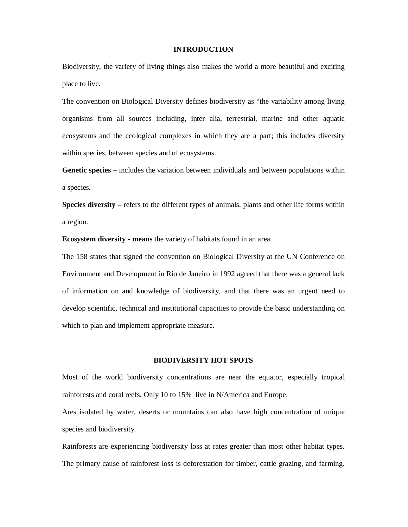#### **INTRODUCTION**

Biodiversity, the variety of living things also makes the world a more beautiful and exciting place to live.

The convention on Biological Diversity defines biodiversity as "the variability among living organisms from all sources including, inter alia, terrestrial, marine and other aquatic ecosystems and the ecological complexes in which they are a part; this includes diversity within species, between species and of ecosystems.

**Genetic species –** includes the variation between individuals and between populations within a species.

**Species diversity –** refers to the different types of animals, plants and other life forms within a region.

**Ecosystem diversity - means** the variety of habitats found in an area.

The 158 states that signed the convention on Biological Diversity at the UN Conference on Environment and Development in Rio de Janeiro in 1992 agreed that there was a general lack of information on and knowledge of biodiversity, and that there was an urgent need to develop scientific, technical and institutional capacities to provide the basic understanding on which to plan and implement appropriate measure.

#### **BIODIVERSITY HOT SPOTS**

Most of the world biodiversity concentrations are near the equator, especially tropical rainforests and coral reefs. Only 10 to 15% live in N/America and Europe.

Ares isolated by water, deserts or mountains can also have high concentration of unique species and biodiversity.

Rainforests are experiencing biodiversity loss at rates greater than most other habitat types. The primary cause of rainforest loss is deforestation for timber, cattle grazing, and farming.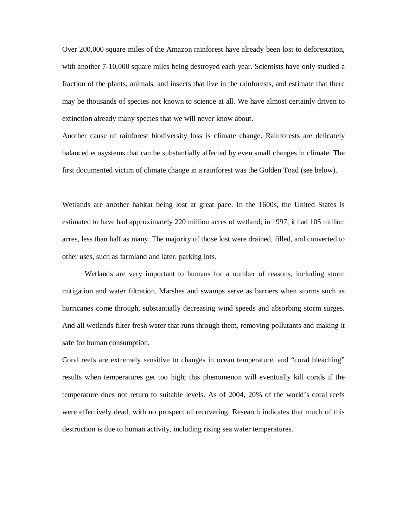Over 200,000 square miles of the Amazon rainforest have already been lost to deforestation, with another 7-10,000 square miles being destroyed each year. Scientists have only studied a fraction of the plants, animals, and insects that live in the rainforests, and estimate that there may be thousands of species not known to science at all. We have almost certainly driven to extinction already many species that we will never know about.

Another cause of rainforest biodiversity loss is climate change. Rainforests are delicately balanced ecosystems that can be substantially affected by even small changes in climate. The first documented victim of climate change in a rainforest was the Golden Toad (see below).

Wetlands are another habitat being lost at great pace. In the 1600s, the United States is estimated to have had approximately 220 million acres of wetland; in 1997, it had 105 million acres, less than half as many. The majority of those lost were drained, filled, and converted to other uses, such as farmland and later, parking lots.

Wetlands are very important to humans for a number of reasons, including storm mitigation and water filtration. Marshes and swamps serve as barriers when storms such as hurricanes come through, substantially decreasing wind speeds and absorbing storm surges. And all wetlands filter fresh water that runs through them, removing pollutants and making it safe for human consumption.

Coral reefs are extremely sensitive to changes in ocean temperature, and "coral bleaching" results when temperatures get too high; this phenomenon will eventually kill corals if the temperature does not return to suitable levels. As of 2004, 20% of the world's coral reefs were effectively dead, with no prospect of recovering. Research indicates that much of this destruction is due to human activity, including rising sea water temperatures.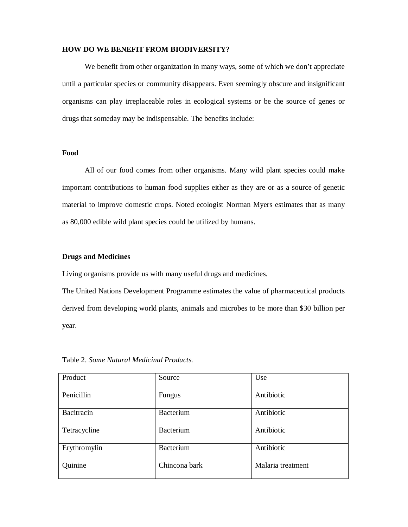## **HOW DO WE BENEFIT FROM BIODIVERSITY?**

We benefit from other organization in many ways, some of which we don't appreciate until a particular species or community disappears. Even seemingly obscure and insignificant organisms can play irreplaceable roles in ecological systems or be the source of genes or drugs that someday may be indispensable. The benefits include:

## **Food**

All of our food comes from other organisms. Many wild plant species could make important contributions to human food supplies either as they are or as a source of genetic material to improve domestic crops. Noted ecologist Norman Myers estimates that as many as 80,000 edible wild plant species could be utilized by humans.

## **Drugs and Medicines**

Living organisms provide us with many useful drugs and medicines.

The United Nations Development Programme estimates the value of pharmaceutical products derived from developing world plants, animals and microbes to be more than \$30 billion per year.

| Product      | Source           | Use               |
|--------------|------------------|-------------------|
| Penicillin   | Fungus           | Antibiotic        |
| Bacitracin   | <b>Bacterium</b> | Antibiotic        |
| Tetracycline | <b>Bacterium</b> | Antibiotic        |
| Erythromylin | <b>Bacterium</b> | Antibiotic        |
| Quinine      | Chincona bark    | Malaria treatment |

Table 2. *Some Natural Medicinal Products.*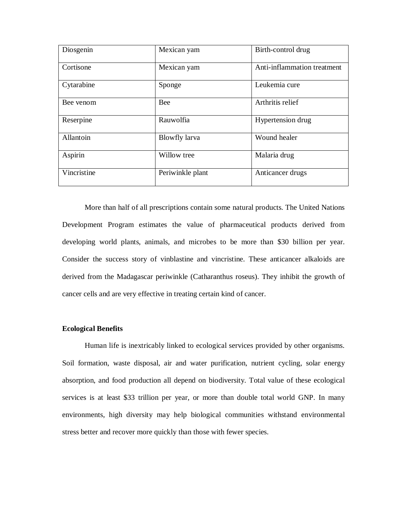| Diosgenin   | Mexican yam      | Birth-control drug          |
|-------------|------------------|-----------------------------|
| Cortisone   | Mexican yam      | Anti-inflammation treatment |
| Cytarabine  | Sponge           | Leukemia cure               |
| Bee venom   | <b>Bee</b>       | Arthritis relief            |
| Reserpine   | Rauwolfia        | Hypertension drug           |
| Allantoin   | Blowfly larva    | Wound healer                |
| Aspirin     | Willow tree      | Malaria drug                |
| Vincristine | Periwinkle plant | Anticancer drugs            |

More than half of all prescriptions contain some natural products. The United Nations Development Program estimates the value of pharmaceutical products derived from developing world plants, animals, and microbes to be more than \$30 billion per year. Consider the success story of vinblastine and vincristine. These anticancer alkaloids are derived from the Madagascar periwinkle (Catharanthus roseus). They inhibit the growth of cancer cells and are very effective in treating certain kind of cancer.

### **Ecological Benefits**

Human life is inextricably linked to ecological services provided by other organisms. Soil formation, waste disposal, air and water purification, nutrient cycling, solar energy absorption, and food production all depend on biodiversity. Total value of these ecological services is at least \$33 trillion per year, or more than double total world GNP. In many environments, high diversity may help biological communities withstand environmental stress better and recover more quickly than those with fewer species.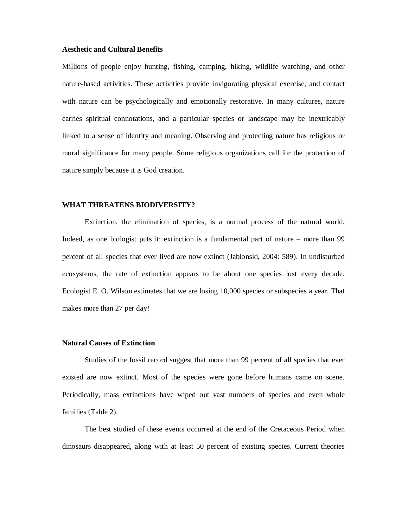## **Aesthetic and Cultural Benefits**

Millions of people enjoy hunting, fishing, camping, hiking, wildlife watching, and other nature-based activities. These activities provide invigorating physical exercise, and contact with nature can be psychologically and emotionally restorative. In many cultures, nature carries spiritual connotations, and a particular species or landscape may be inextricably linked to a sense of identity and meaning. Observing and protecting nature has religious or moral significance for many people. Some religious organizations call for the protection of nature simply because it is God creation.

### **WHAT THREATENS BIODIVERSITY?**

Extinction, the elimination of species, is a normal process of the natural world. Indeed, as one biologist puts it: extinction is a fundamental part of nature – more than 99 percent of all species that ever lived are now extinct (Jablonski, 2004: 589). In undisturbed ecosystems, the rate of extinction appears to be about one species lost every decade. Ecologist E. O. Wilson estimates that we are losing 10,000 species or subspecies a year. That makes more than 27 per day!

#### **Natural Causes of Extinction**

Studies of the fossil record suggest that more than 99 percent of all species that ever existed are now extinct. Most of the species were gone before humans came on scene. Periodically, mass extinctions have wiped out vast numbers of species and even whole families (Table 2).

The best studied of these events occurred at the end of the Cretaceous Period when dinosaurs disappeared, along with at least 50 percent of existing species. Current theories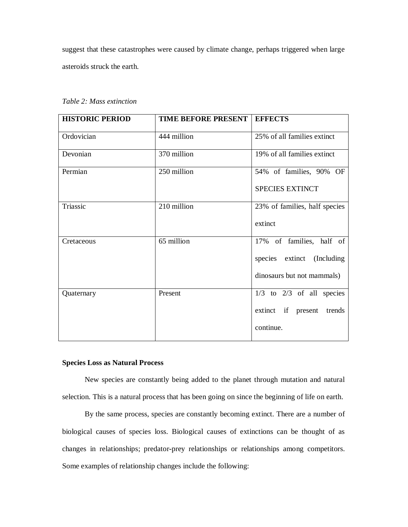suggest that these catastrophes were caused by climate change, perhaps triggered when large asteroids struck the earth.

*Table 2: Mass extinction* 

| <b>HISTORIC PERIOD</b> | <b>TIME BEFORE PRESENT  </b> | <b>EFFECTS</b>                                                                       |
|------------------------|------------------------------|--------------------------------------------------------------------------------------|
| Ordovician             | 444 million                  | 25% of all families extinct                                                          |
| Devonian               | 370 million                  | 19% of all families extinct                                                          |
| Permian                | 250 million                  | 54% of families, 90% OF<br><b>SPECIES EXTINCT</b>                                    |
| Triassic               | 210 million                  | 23% of families, half species<br>extinct                                             |
| Cretaceous             | 65 million                   | 17% of families, half of<br>species extinct (Including<br>dinosaurs but not mammals) |
| Quaternary             | Present                      | $1/3$ to $2/3$ of all species<br>extinct if present trends<br>continue.              |

## **Species Loss as Natural Process**

New species are constantly being added to the planet through mutation and natural selection. This is a natural process that has been going on since the beginning of life on earth.

By the same process, species are constantly becoming extinct. There are a number of biological causes of species loss. Biological causes of extinctions can be thought of as changes in relationships; predator-prey relationships or relationships among competitors. Some examples of relationship changes include the following: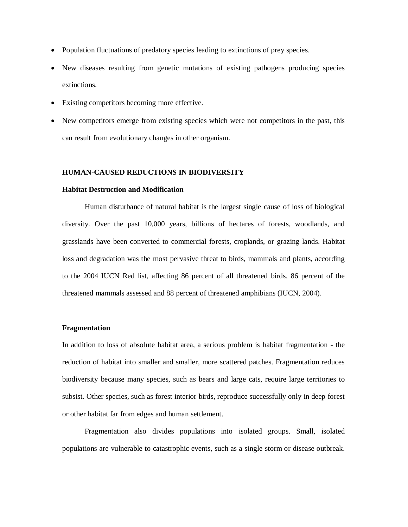- Population fluctuations of predatory species leading to extinctions of prey species.
- New diseases resulting from genetic mutations of existing pathogens producing species extinctions.
- Existing competitors becoming more effective.
- New competitors emerge from existing species which were not competitors in the past, this can result from evolutionary changes in other organism.

#### **HUMAN-CAUSED REDUCTIONS IN BIODIVERSITY**

#### **Habitat Destruction and Modification**

Human disturbance of natural habitat is the largest single cause of loss of biological diversity. Over the past 10,000 years, billions of hectares of forests, woodlands, and grasslands have been converted to commercial forests, croplands, or grazing lands. Habitat loss and degradation was the most pervasive threat to birds, mammals and plants, according to the 2004 IUCN Red list, affecting 86 percent of all threatened birds, 86 percent of the threatened mammals assessed and 88 percent of threatened amphibians (IUCN, 2004).

#### **Fragmentation**

In addition to loss of absolute habitat area, a serious problem is habitat fragmentation - the reduction of habitat into smaller and smaller, more scattered patches. Fragmentation reduces biodiversity because many species, such as bears and large cats, require large territories to subsist. Other species, such as forest interior birds, reproduce successfully only in deep forest or other habitat far from edges and human settlement.

Fragmentation also divides populations into isolated groups. Small, isolated populations are vulnerable to catastrophic events, such as a single storm or disease outbreak.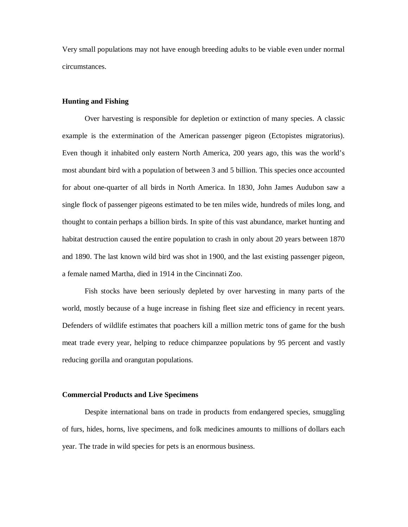Very small populations may not have enough breeding adults to be viable even under normal circumstances.

#### **Hunting and Fishing**

Over harvesting is responsible for depletion or extinction of many species. A classic example is the extermination of the American passenger pigeon (Ectopistes migratorius). Even though it inhabited only eastern North America, 200 years ago, this was the world's most abundant bird with a population of between 3 and 5 billion. This species once accounted for about one-quarter of all birds in North America. In 1830, John James Audubon saw a single flock of passenger pigeons estimated to be ten miles wide, hundreds of miles long, and thought to contain perhaps a billion birds. In spite of this vast abundance, market hunting and habitat destruction caused the entire population to crash in only about 20 years between 1870 and 1890. The last known wild bird was shot in 1900, and the last existing passenger pigeon, a female named Martha, died in 1914 in the Cincinnati Zoo.

Fish stocks have been seriously depleted by over harvesting in many parts of the world, mostly because of a huge increase in fishing fleet size and efficiency in recent years. Defenders of wildlife estimates that poachers kill a million metric tons of game for the bush meat trade every year, helping to reduce chimpanzee populations by 95 percent and vastly reducing gorilla and orangutan populations.

#### **Commercial Products and Live Specimens**

Despite international bans on trade in products from endangered species, smuggling of furs, hides, horns, live specimens, and folk medicines amounts to millions of dollars each year. The trade in wild species for pets is an enormous business.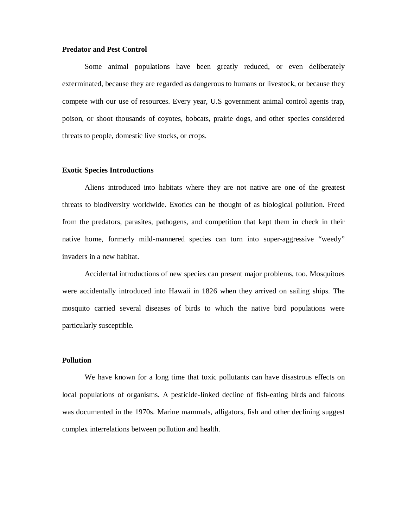#### **Predator and Pest Control**

Some animal populations have been greatly reduced, or even deliberately exterminated, because they are regarded as dangerous to humans or livestock, or because they compete with our use of resources. Every year, U.S government animal control agents trap, poison, or shoot thousands of coyotes, bobcats, prairie dogs, and other species considered threats to people, domestic live stocks, or crops.

#### **Exotic Species Introductions**

Aliens introduced into habitats where they are not native are one of the greatest threats to biodiversity worldwide. Exotics can be thought of as biological pollution. Freed from the predators, parasites, pathogens, and competition that kept them in check in their native home, formerly mild-mannered species can turn into super-aggressive "weedy" invaders in a new habitat.

Accidental introductions of new species can present major problems, too. Mosquitoes were accidentally introduced into Hawaii in 1826 when they arrived on sailing ships. The mosquito carried several diseases of birds to which the native bird populations were particularly susceptible.

#### **Pollution**

We have known for a long time that toxic pollutants can have disastrous effects on local populations of organisms. A pesticide-linked decline of fish-eating birds and falcons was documented in the 1970s. Marine mammals, alligators, fish and other declining suggest complex interrelations between pollution and health.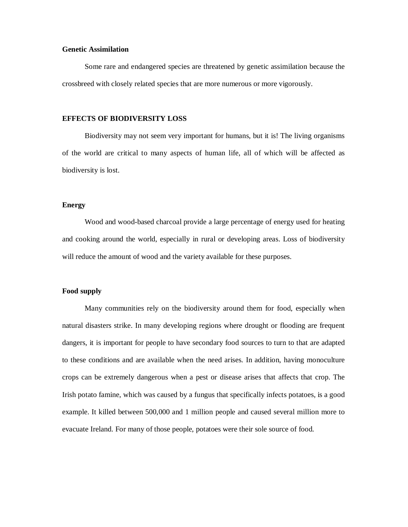## **Genetic Assimilation**

Some rare and endangered species are threatened by genetic assimilation because the crossbreed with closely related species that are more numerous or more vigorously.

## **EFFECTS OF BIODIVERSITY LOSS**

Biodiversity may not seem very important for humans, but it is! The living organisms of the world are critical to many aspects of human life, all of which will be affected as biodiversity is lost.

# **Energy**

Wood and wood-based charcoal provide a large percentage of energy used for heating and cooking around the world, especially in rural or developing areas. Loss of biodiversity will reduce the amount of wood and the variety available for these purposes.

#### **Food supply**

Many communities rely on the biodiversity around them for food, especially when natural disasters strike. In many developing regions where drought or flooding are frequent dangers, it is important for people to have secondary food sources to turn to that are adapted to these conditions and are available when the need arises. In addition, having monoculture crops can be extremely dangerous when a pest or disease arises that affects that crop. The Irish potato famine, which was caused by a fungus that specifically infects potatoes, is a good example. It killed between 500,000 and 1 million people and caused several million more to evacuate Ireland. For many of those people, potatoes were their sole source of food.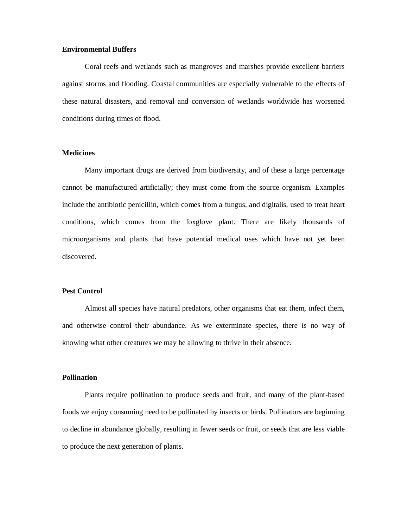## **Environmental Buffers**

Coral reefs and wetlands such as mangroves and marshes provide excellent barriers against storms and flooding. Coastal communities are especially vulnerable to the effects of these natural disasters, and removal and conversion of wetlands worldwide has worsened conditions during times of flood.

# **Medicines**

Many important drugs are derived from biodiversity, and of these a large percentage cannot be manufactured artificially; they must come from the source organism. Examples include the antibiotic penicillin, which comes from a fungus, and digitalis, used to treat heart conditions, which comes from the foxglove plant. There are likely thousands of microorganisms and plants that have potential medical uses which have not yet been discovered.

### **Pest Control**

Almost all species have natural predators, other organisms that eat them, infect them, and otherwise control their abundance. As we exterminate species, there is no way of knowing what other creatures we may be allowing to thrive in their absence.

## **Pollination**

Plants require pollination to produce seeds and fruit, and many of the plant-based foods we enjoy consuming need to be pollinated by insects or birds. Pollinators are beginning to decline in abundance globally, resulting in fewer seeds or fruit, or seeds that are less viable to produce the next generation of plants.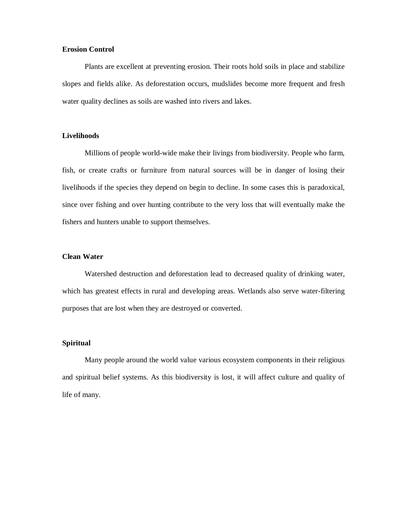## **Erosion Control**

Plants are excellent at preventing erosion. Their roots hold soils in place and stabilize slopes and fields alike. As deforestation occurs, mudslides become more frequent and fresh water quality declines as soils are washed into rivers and lakes.

## **Livelihoods**

Millions of people world-wide make their livings from biodiversity. People who farm, fish, or create crafts or furniture from natural sources will be in danger of losing their livelihoods if the species they depend on begin to decline. In some cases this is paradoxical, since over fishing and over hunting contribute to the very loss that will eventually make the fishers and hunters unable to support themselves.

## **Clean Water**

Watershed destruction and deforestation lead to decreased quality of drinking water, which has greatest effects in rural and developing areas. Wetlands also serve water-filtering purposes that are lost when they are destroyed or converted.

#### **Spiritual**

Many people around the world value various ecosystem components in their religious and spiritual belief systems. As this biodiversity is lost, it will affect culture and quality of life of many.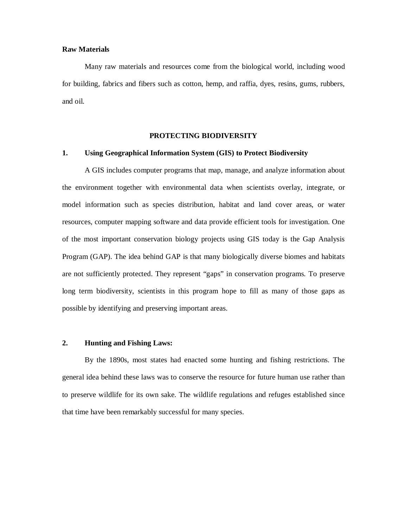#### **Raw Materials**

Many raw materials and resources come from the biological world, including wood for building, fabrics and fibers such as cotton, hemp, and raffia, dyes, resins, gums, rubbers, and oil.

#### **PROTECTING BIODIVERSITY**

#### **1. Using Geographical Information System (GIS) to Protect Biodiversity**

A GIS includes computer programs that map, manage, and analyze information about the environment together with environmental data when scientists overlay, integrate, or model information such as species distribution, habitat and land cover areas, or water resources, computer mapping software and data provide efficient tools for investigation. One of the most important conservation biology projects using GIS today is the Gap Analysis Program (GAP). The idea behind GAP is that many biologically diverse biomes and habitats are not sufficiently protected. They represent "gaps" in conservation programs. To preserve long term biodiversity, scientists in this program hope to fill as many of those gaps as possible by identifying and preserving important areas.

#### **2. Hunting and Fishing Laws:**

By the 1890s, most states had enacted some hunting and fishing restrictions. The general idea behind these laws was to conserve the resource for future human use rather than to preserve wildlife for its own sake. The wildlife regulations and refuges established since that time have been remarkably successful for many species.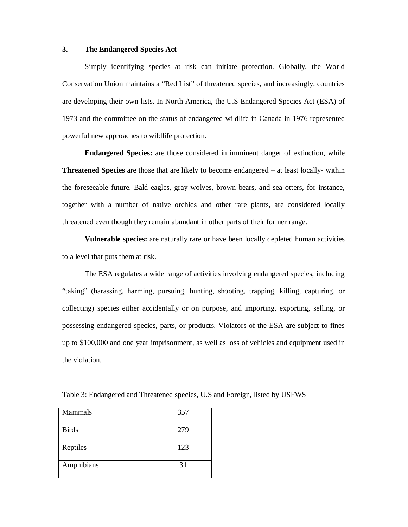#### **3. The Endangered Species Act**

Simply identifying species at risk can initiate protection. Globally, the World Conservation Union maintains a "Red List" of threatened species, and increasingly, countries are developing their own lists. In North America, the U.S Endangered Species Act (ESA) of 1973 and the committee on the status of endangered wildlife in Canada in 1976 represented powerful new approaches to wildlife protection.

**Endangered Species:** are those considered in imminent danger of extinction, while **Threatened Species** are those that are likely to become endangered – at least locally- within the foreseeable future. Bald eagles, gray wolves, brown bears, and sea otters, for instance, together with a number of native orchids and other rare plants, are considered locally threatened even though they remain abundant in other parts of their former range.

**Vulnerable species:** are naturally rare or have been locally depleted human activities to a level that puts them at risk.

The ESA regulates a wide range of activities involving endangered species, including "taking" (harassing, harming, pursuing, hunting, shooting, trapping, killing, capturing, or collecting) species either accidentally or on purpose, and importing, exporting, selling, or possessing endangered species, parts, or products. Violators of the ESA are subject to fines up to \$100,000 and one year imprisonment, as well as loss of vehicles and equipment used in the violation.

| Mammals      | 357 |
|--------------|-----|
|              |     |
|              |     |
|              |     |
| <b>Birds</b> | 279 |
|              |     |
|              |     |
|              |     |
|              | 123 |
| Reptiles     |     |
|              |     |
|              |     |
|              |     |
| Amphibians   | 31  |
|              |     |
|              |     |

Table 3: Endangered and Threatened species, U.S and Foreign, listed by USFWS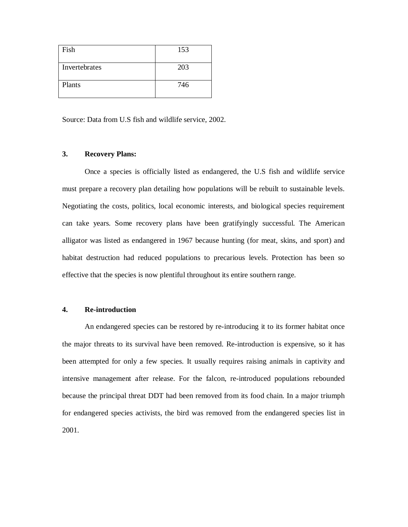| Fish          | 153 |
|---------------|-----|
| Invertebrates | 203 |
| Plants        | 746 |

Source: Data from U.S fish and wildlife service, 2002.

## **3. Recovery Plans:**

Once a species is officially listed as endangered, the U.S fish and wildlife service must prepare a recovery plan detailing how populations will be rebuilt to sustainable levels. Negotiating the costs, politics, local economic interests, and biological species requirement can take years. Some recovery plans have been gratifyingly successful. The American alligator was listed as endangered in 1967 because hunting (for meat, skins, and sport) and habitat destruction had reduced populations to precarious levels. Protection has been so effective that the species is now plentiful throughout its entire southern range.

## **4. Re-introduction**

An endangered species can be restored by re-introducing it to its former habitat once the major threats to its survival have been removed. Re-introduction is expensive, so it has been attempted for only a few species. It usually requires raising animals in captivity and intensive management after release. For the falcon, re-introduced populations rebounded because the principal threat DDT had been removed from its food chain. In a major triumph for endangered species activists, the bird was removed from the endangered species list in 2001.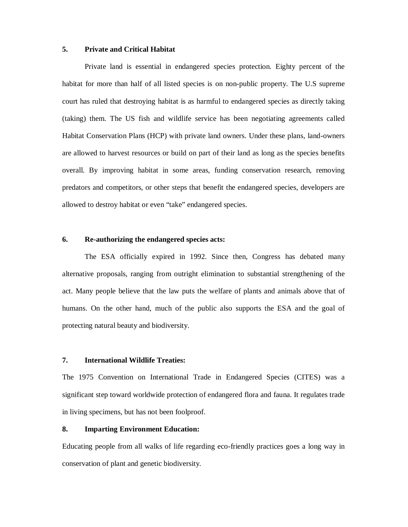### **5. Private and Critical Habitat**

Private land is essential in endangered species protection. Eighty percent of the habitat for more than half of all listed species is on non-public property. The U.S supreme court has ruled that destroying habitat is as harmful to endangered species as directly taking (taking) them. The US fish and wildlife service has been negotiating agreements called Habitat Conservation Plans (HCP) with private land owners. Under these plans, land-owners are allowed to harvest resources or build on part of their land as long as the species benefits overall. By improving habitat in some areas, funding conservation research, removing predators and competitors, or other steps that benefit the endangered species, developers are allowed to destroy habitat or even "take" endangered species.

#### **6. Re-authorizing the endangered species acts:**

The ESA officially expired in 1992. Since then, Congress has debated many alternative proposals, ranging from outright elimination to substantial strengthening of the act. Many people believe that the law puts the welfare of plants and animals above that of humans. On the other hand, much of the public also supports the ESA and the goal of protecting natural beauty and biodiversity.

### **7. International Wildlife Treaties:**

The 1975 Convention on International Trade in Endangered Species (CITES) was a significant step toward worldwide protection of endangered flora and fauna. It regulates trade in living specimens, but has not been foolproof.

### **8. Imparting Environment Education:**

Educating people from all walks of life regarding eco-friendly practices goes a long way in conservation of plant and genetic biodiversity.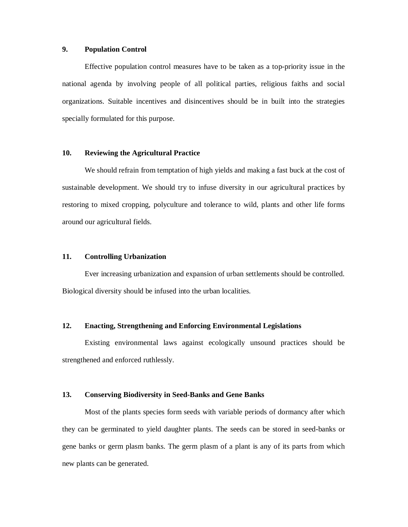### **9. Population Control**

Effective population control measures have to be taken as a top-priority issue in the national agenda by involving people of all political parties, religious faiths and social organizations. Suitable incentives and disincentives should be in built into the strategies specially formulated for this purpose.

## **10. Reviewing the Agricultural Practice**

We should refrain from temptation of high yields and making a fast buck at the cost of sustainable development. We should try to infuse diversity in our agricultural practices by restoring to mixed cropping, polyculture and tolerance to wild, plants and other life forms around our agricultural fields.

### **11. Controlling Urbanization**

Ever increasing urbanization and expansion of urban settlements should be controlled. Biological diversity should be infused into the urban localities.

# **12. Enacting, Strengthening and Enforcing Environmental Legislations**

Existing environmental laws against ecologically unsound practices should be strengthened and enforced ruthlessly.

## **13. Conserving Biodiversity in Seed-Banks and Gene Banks**

Most of the plants species form seeds with variable periods of dormancy after which they can be germinated to yield daughter plants. The seeds can be stored in seed-banks or gene banks or germ plasm banks. The germ plasm of a plant is any of its parts from which new plants can be generated.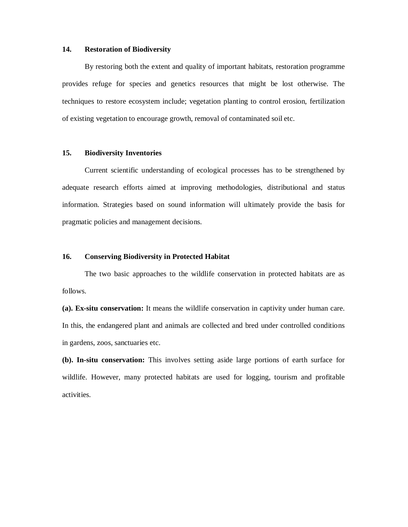### **14. Restoration of Biodiversity**

By restoring both the extent and quality of important habitats, restoration programme provides refuge for species and genetics resources that might be lost otherwise. The techniques to restore ecosystem include; vegetation planting to control erosion, fertilization of existing vegetation to encourage growth, removal of contaminated soil etc.

## **15. Biodiversity Inventories**

Current scientific understanding of ecological processes has to be strengthened by adequate research efforts aimed at improving methodologies, distributional and status information. Strategies based on sound information will ultimately provide the basis for pragmatic policies and management decisions.

## **16. Conserving Biodiversity in Protected Habitat**

The two basic approaches to the wildlife conservation in protected habitats are as follows.

**(a). Ex-situ conservation:** It means the wildlife conservation in captivity under human care. In this, the endangered plant and animals are collected and bred under controlled conditions in gardens, zoos, sanctuaries etc.

**(b). In-situ conservation:** This involves setting aside large portions of earth surface for wildlife. However, many protected habitats are used for logging, tourism and profitable activities.